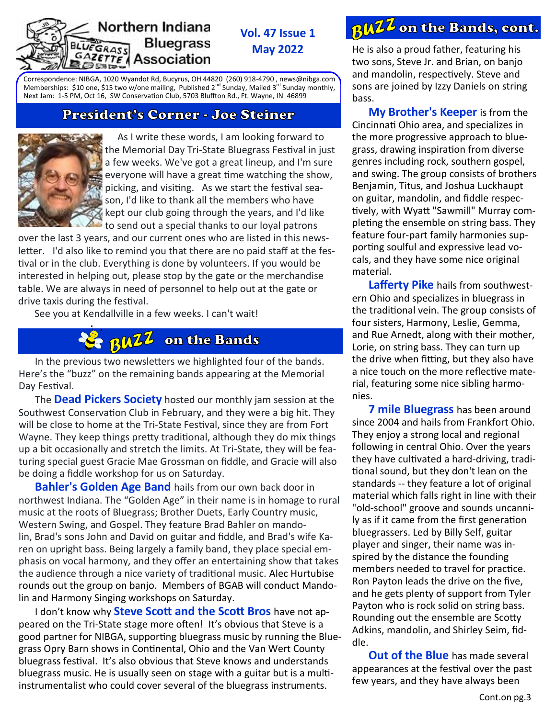#### Northern Indiana **Bluegrass** EGRASS AZETTE Association

**Vol. 47 Issue 1 May 2022**

Correspondence: NIBGA, 1020 Wyandot Rd, Bucyrus, OH 44820 (260) 918-4790 , news[@nibga.com](mailto:NL@nibga.com)  Memberships: \$10 one, \$15 two w/one mailing, Published 2<sup>nd</sup> Sunday, Mailed 3<sup>rd</sup> Sunday monthly, Next Jam: 1-5 PM, Oct 16, SW Conservation Club, 5703 Bluffton Rd., Ft. Wayne, IN 46899

## President's Corner - Joe Steiner



 As I write these words, I am looking forward to the Memorial Day Tri-State Bluegrass Festival in just a few weeks. We've got a great lineup, and I'm sure everyone will have a great time watching the show, picking, and visiting. As we start the festival season, I'd like to thank all the members who have kept our club going through the years, and I'd like to send out a special thanks to our loyal patrons

over the last 3 years, and our current ones who are listed in this newsletter. I'd also like to remind you that there are no paid staff at the festival or in the club. Everything is done by volunteers. If you would be interested in helping out, please stop by the gate or the merchandise table. We are always in need of personnel to help out at the gate or drive taxis during the festival.

See you at Kendallville in a few weeks. I can't wait!



In the previous two newsletters we highlighted four of the bands. Here's the "buzz" on the remaining bands appearing at the Memorial Day Festival.

The **Dead Pickers Society** hosted our monthly jam session at the Southwest Conservation Club in February, and they were a big hit. They will be close to home at the Tri-State Festival, since they are from Fort Wayne. They keep things pretty traditional, although they do mix things up a bit occasionally and stretch the limits. At Tri-State, they will be featuring special guest Gracie Mae Grossman on fiddle, and Gracie will also be doing a fiddle workshop for us on Saturday.

**Bahler's Golden Age Band** hails from our own back door in northwest Indiana. The "Golden Age" in their name is in homage to rural music at the roots of Bluegrass; Brother Duets, Early Country music, Western Swing, and Gospel. They feature Brad Bahler on mandolin, Brad's sons John and David on guitar and fiddle, and Brad's wife Karen on upright bass. Being largely a family band, they place special emphasis on vocal harmony, and they offer an entertaining show that takes the audience through a nice variety of traditional music. Alec Hurtubise rounds out the group on banjo. Members of BGAB will conduct Mandolin and Harmony Singing workshops on Saturday.

I don't know why **Steve Scott and the Scott Bros** have not appeared on the Tri-State stage more often! It's obvious that Steve is a good partner for NIBGA, supporting bluegrass music by running the Bluegrass Opry Barn shows in Continental, Ohio and the Van Wert County bluegrass festival. It's also obvious that Steve knows and understands bluegrass music. He is usually seen on stage with a guitar but is a multiinstrumentalist who could cover several of the bluegrass instruments.

# *<u>BWZZ</u>* on the Bands, cont.

He is also a proud father, featuring his two sons, Steve Jr. and Brian, on banjo and mandolin, respectively. Steve and sons are joined by Izzy Daniels on string bass.

**My Brother's Keeper** is from the Cincinnati Ohio area, and specializes in the more progressive approach to bluegrass, drawing inspiration from diverse genres including rock, southern gospel, and swing. The group consists of brothers Benjamin, Titus, and Joshua Luckhaupt on guitar, mandolin, and fiddle respectively, with Wyatt "Sawmill" Murray completing the ensemble on string bass. They feature four-part family harmonies supporting soulful and expressive lead vocals, and they have some nice original material.

**Lafferty Pike** hails from southwestern Ohio and specializes in bluegrass in the traditional vein. The group consists of four sisters, Harmony, Leslie, Gemma, and Rue Arnedt, along with their mother, Lorie, on string bass. They can turn up the drive when fitting, but they also have a nice touch on the more reflective material, featuring some nice sibling harmonies.

**7 mile Bluegrass** has been around since 2004 and hails from Frankfort Ohio. They enjoy a strong local and regional following in central Ohio. Over the years they have cultivated a hard-driving, traditional sound, but they don't lean on the standards -- they feature a lot of original material which falls right in line with their "old-school" groove and sounds uncannily as if it came from the first generation bluegrassers. Led by Billy Self, guitar player and singer, their name was inspired by the distance the founding members needed to travel for practice. Ron Payton leads the drive on the five, and he gets plenty of support from Tyler Payton who is rock solid on string bass. Rounding out the ensemble are Scotty Adkins, mandolin, and Shirley Seim, fiddle.

**Out of the Blue** has made several appearances at the festival over the past few years, and they have always been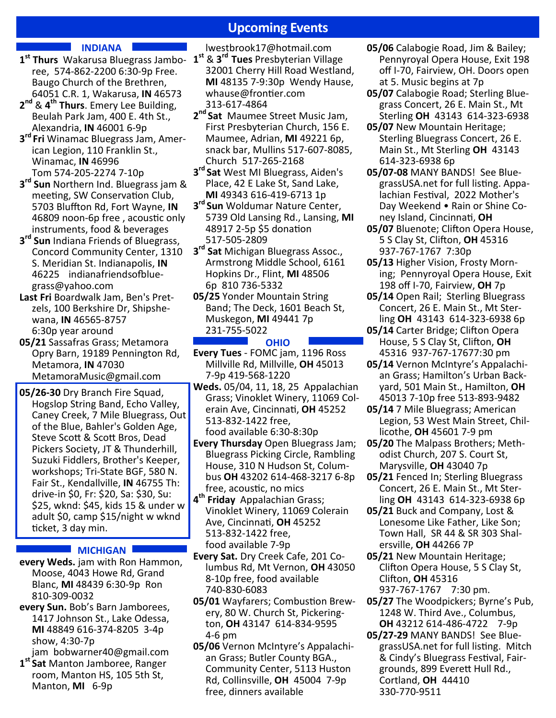# **Upcoming Events**

### **INDIANA**

- [ree,](https://www.wakarusabluegrassjam.com/) 574-862-2200 6:30-9p Free. Baugo Church of the Brethren, 64051 C.R. 1, Wakarusa, **IN** 46573
- **2 nd** & **4 th Thurs**. Emery Lee Building, Beulah Park Jam, 400 E. 4th St., Alexandria, **IN** 46001 6-9p
- **3 rd Fri** [Winamac Bluegrass Jam,](https://www.facebook.com/woodshedrambler) American Legion, 110 Franklin St., Winamac, **IN** 46996 Tom 574-205-2274 7-10p
- **3 rd Sun** Northern Ind. Bluegrass jam & meeting, SW Conservation Club, 5703 Bluffton Rd, Fort Wayne, **IN** 46809 noon-6p free , acoustic only instruments, food & beverages
- **3 rd Sun** Indiana Friends of Bluegrass, Concord Community Center, 1310 S. Meridian St. Indianapolis, **IN** 46225 [indianafriendsofblue](javascript:DeCryptX()[grass@yahoo.com](javascript:DeCryptX()
- **Last Fri** Boardwalk Jam, Ben's Pretzels, 100 Berkshire Dr, Shipshewana, **IN** 46565-8757 6:30p year around
- **05/21** Sassafras Grass; Metamora [Opry Barn,](https://www.metamorampa.org/bluegrass-nights-at-the-opry-barn) 19189 Pennington Rd, Metamora, **IN** 47030 [MetamoraMusic@gmail.com](mailto:MetamoraMusic@gmail.com)
- **05/26-30** Dry Branch Fire Squad, Hogslop String Band, Echo Valley, Caney Creek, 7 Mile Bluegrass, Out of the Blue, Bahler's Golden Age, Steve Scott & Scott Bros, Dead Pickers Society, JT & Thunderhill, Suzuki Fiddlers, Brother's Keeper, workshops; Tri-State BGF, 580 N. Fair St., Kendallville, **IN** 46755 Th: drive-in \$0, Fr: \$20, Sa: \$30, Su: \$25, wknd: \$45, kids 15 & under w adult \$0, camp \$15/night w wknd ticket, 3 day min.

#### **MICHIGAN**

- **every Weds.** jam with Ron Hammon, Moose, 4043 Howe Rd, Grand Blanc, **MI** 48439 6:30-9p Ron 810-309-0032
- **every Sun.** Bob'[s Barn Jamborees,](https://www.facebook.com/search/posts/?q=bob%27s%20barn%20jamborees) 1417 Johnson St., Lake Odessa, **MI** 48849 616-374-8205 3-4p show, 4:30-7p

jam [bobwarner40@gmail.com](mailto:bobwarner40@gmail.com)

**1 st Sat** Manton Jamboree, Ranger room, Manton HS, 105 5th St, Manton, **MI** 6-9p

- **1 st Thurs** [Wakarusa Bluegrass Jambo-](https://www.wakarusabluegrassjam.com/)**1 st** & **3 rd Tues** Presbyterian Village [lwestbrook17@hotmail.com](mailto:lwestbrook17@hotmail.com) 32001 Cherry Hill Road Westland, **MI** 48135 7-9:30p Wendy Hause, [whause@frontier.com](mailto:whause@frontier.com) 313-617-4864
	- **2 nd Sat** Maumee Street Music Jam, First Presbyterian Church, 156 E. Maumee, Adrian, **MI** 49221 6p, snack bar, Mullins 517-607-8085, Church 517-265-2168
	- **3 rd Sat** [West MI Bluegrass,](http://wmbma.org/) Aiden's Place, 42 E Lake St, Sand Lake, **MI** 49343 616-419-6713 1p
	- **3 rd Sun** Woldumar Nature Center, 5739 Old Lansing Rd., Lansing, **MI** 48917 2-5p \$5 donation 517-505-2809
	- **3 rd Sat** Michigan Bluegrass Assoc., Armstrong Middle School, 6161 Hopkins Dr., Flint, **MI** 48506 6p 810 736-5332
	- **05/25** [Yonder Mountain String](https://www.yondermountain.com/tour/)  [Band;](https://www.yondermountain.com/tour/) [The Deck,](https://thedeckmkg.com/) 1601 Beach St, Muskegon, **MI** 49441 7p 231-755-5022

#### **OHIO**

- **Every Tues** FOMC jam, 1196 Ross Millville Rd, Millville, **OH** 45013 7-9p 419-568-1220
- **Weds.** 05/04, 11, 18, 25[Appalachian](https://www.fotmc.com/vernon-mcintyres-appalachian-grass/)  [Grass;](https://www.fotmc.com/vernon-mcintyres-appalachian-grass/) [Vinoklet Winery,](http://fibbrew.com/) 11069 Colerain Ave, Cincinnati, **OH** 45252 513-832-1422 free, food available 6:30-8:30p
- **Every Thursday** Open Bluegrass Jam; Bluegrass Picking Circle, Rambling [House,](http://www.ramblinghouse.com/) 310 N Hudson St, Columbus **OH** 43202 614-468-3217 6-8p free, acoustic, no mics
- **4 th Friday** [Appalachian Grass;](https://www.fotmc.com/vernon-mcintyres-appalachian-grass/) [Vinoklet Winery,](http://fibbrew.com/) 11069 Colerain Ave, Cincinnati, **OH** 45252 513-832-1422 free, food available 7-9p
- **Every Sat.** [Dry Creek Cafe,](https://www.facebook.com/drycreekcafemv) 201 Columbus Rd, Mt Vernon, **OH** 43050 8-10p free, food available 740-830-6083
- **05/01** Wayfarers; [Combustion Brew](http://www.combustionbrewing.com/index)[ery,](http://www.combustionbrewing.com/index) 80 W. Church St, Pickerington, **OH** 43147 614-834-9595 4-6 pm
- **05/06** [Vernon McIntyre](https://www.fotmc.com/vernon-mcintyres-appalachian-grass/)'s Appalachi[an Grass;](https://www.fotmc.com/vernon-mcintyres-appalachian-grass/) Butler County BGA., Community Center, 5113 Huston Rd, Collinsville, **OH** 45004 7-9p free, dinners available
- **05/06** [Calabogie Road,](http://calabogieroadbluegrass.com/) Jim & Bailey; [Pennyroyal Opera House,](https://www.pennyroyalbluegrass.com/) Exit 198 off I-70, Fairview, OH. Doors open at 5. Music begins at 7p
- **05/07** [Calabogie Road;](http://calabogieroadbluegrass.com/) Sterling Blue[grass Concert,](https://www.facebook.com/Sterling-Bluegrass-Jamboree-816204801768832/) 26 E. Main St., Mt Sterling **OH** 43143 614-323-6938
- **05/07** New Mountain Heritage; [Sterling Bluegrass Concert,](https://www.facebook.com/Sterling-Bluegrass-Jamboree-816204801768832/) 26 E. Main St., Mt Sterling **OH** 43143 614-323-6938 6p
- **05/07-08** MANY BANDS! See BluegrassUSA.net for full listing. [Appa](http://www.appalachianfestival.org/music)[lachian Festival](http://www.appalachianfestival.org/music), 2022 Mother's Day Weekend • Rain or Shine Coney Island, Cincinnati, **OH**
- **05/07** Bluenote; [Clifton Opera House,](http://www.villageofclifton.com/full-coh-calendar/)  5 S Clay St, Clifton, **OH** 45316 937-767-1767 7:30p
- **05/13** Higher Vision, Frosty Morning; [Pennyroyal Opera House,](https://www.pennyroyalbluegrass.com/) Exit 198 off I-70, Fairview, **OH** 7p
- **05/14** Open Rail; [Sterling Bluegrass](https://www.facebook.com/Sterling-Bluegrass-Jamboree-816204801768832/)  [Concert,](https://www.facebook.com/Sterling-Bluegrass-Jamboree-816204801768832/) 26 E. Main St., Mt Sterling **OH** 43143 614-323-6938 6p
- **05/14** Carter Bridge; Clifton Opera [House,](http://www.villageofclifton.com/full-coh-calendar/) 5 S Clay St, Clifton, **OH** 45316 937-767-17677:30 pm
- **05/14** [Vernon McIntyre](https://www.fotmc.com/vernon-mcintyres-appalachian-grass/)'s Appalachi[an Grass;](https://www.fotmc.com/vernon-mcintyres-appalachian-grass/) Hamilton'[s Urban Back](https://www.hubhamilton.com/)[yard,](https://www.hubhamilton.com/) 501 Main St., Hamilton, **OH** 45013 7-10p free 513-893-9482
- **05/14** 7 Mile Bluegrass; American [Legion,](https://www.facebook.com/Ross-County-American-Legion-Post-62-203248895090/) 53 West Main Street, Chillicothe, **OH** 45601 7-9 pm
- **05/20** The Malpass Brothers; Methodist Church, 207 S. Court St, Marysville, **OH** 43040 7p
- **05/21** Fenced In; [Sterling Bluegrass](https://www.facebook.com/Sterling-Bluegrass-Jamboree-816204801768832/)  [Concert,](https://www.facebook.com/Sterling-Bluegrass-Jamboree-816204801768832/) 26 E. Main St., Mt Sterling **OH** 43143 614-323-6938 6p
- **05/21** Buck and Company, Lost & Lonesome Like Father, Like Son; Town Hall, SR 44 & SR 303 Shalersville, **OH** 44266 7P
- **05/21** New Mountain Heritage; [Clifton Opera House,](http://www.villageofclifton.com/full-coh-calendar/) 5 S Clay St, Clifton, **OH** 45316 937-767-1767 7:30 pm.
- **05/27** The Woodpickers; Byrne'[s Pub,](https://www.facebook.com/pg/byrnespubgrandview/events/?ref=page_internal)  1248 W. Third Ave., Columbus, **OH** 43212 614-486-4722 7-9p
- **05/27-29** MANY BANDS! See BluegrassUSA.net for full listing. Mitch & Cindy's Bluegrass Festival, Fairgrounds, 899 Everett Hull Rd., Cortland, **OH** 44410 330-770-9511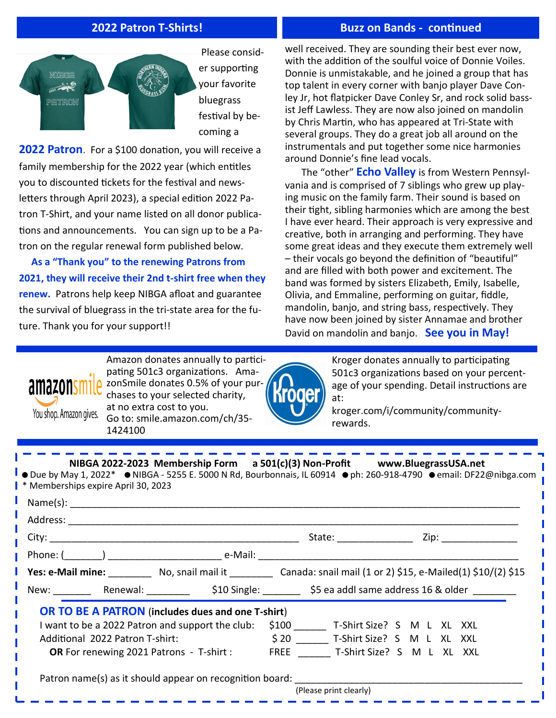## **2022 Patron T-Shirts!**

## **Buzz on Bands - continued**



er supporting your favorite festival by becoming a

**2022 Patron**. For a \$100 donation, you will receive a family membership for the 2022 year (which entitles you to discounted tickets for the festival and newsletters through April 2023), a special edition 2022 Patron T-Shirt, and your name listed on all donor publications and announcements. You can sign up to be a Patron on the regular renewal form published below.

 **As a "Thank you" to the renewing Patrons from 2021, they will receive their 2nd t-shirt free when they renew.** Patrons help keep NIBGA afloat and guarantee the survival of bluegrass in the tri-state area for the future. Thank you for your support!!

well received. They are sounding their best ever now, with the addition of the soulful voice of Donnie Voiles. Donnie is unmistakable, and he joined a group that has top talent in every corner with banjo player Dave Conley Jr, hot flatpicker Dave Conley Sr, and rock solid bassist Jeff Lawless. They are now also joined on mandolin by Chris Martin, who has appeared at Tri-State with several groups. They do a great job all around on the instrumentals and put together some nice harmonies around Donnie's fine lead vocals.

The "other" **Echo Valley** is from Western Pennsylvania and is comprised of 7 siblings who grew up playing music on the family farm. Their sound is based on their tight, sibling harmonies which are among the best I have ever heard. Their approach is very expressive and creative, both in arranging and performing. They have some great ideas and they execute them extremely well – their vocals go beyond the definition of "beautiful" and are filled with both power and excitement. The band was formed by sisters Elizabeth, Emily, Isabelle, Olivia, and Emmaline, performing on guitar, fiddle, mandolin, banjo, and string bass, respectively. They have now been joined by sister Annamae and brother David on mandolin and banjo. **See you in May!**

Amazon donates annually to participating 501c3 organizations. AmazonSmile donates 0.5% of your purchases to your selected charity, at no extra cost to you. You shop. Amazon gives. Go to: smile.amazon.com/ch/35- 1424100

\_\_\_\_\_\_\_\_\_\_\_



Kroger donates annually to participating 501c3 organizations based on your percentage of your spending. Detail instructions are at:

kroger.com/i/community/communityrewards.

<u> 1950 - 1950 - 1950 - 1950 - 1950 - 1951 - 1951 - 1951 - 1951 - 1951 - 1951 - 1951 - 1951 - 1951 - 1951 - 195</u>

 **NIBGA 2022-2023 Membership Form a 501(c)(3) Non-Profit www.BluegrassUSA.net**   $\bullet$  Due by May 1, 2022\*  $\bullet$  NIBGA - 5255 E. 5000 N Rd, Bourbonnais, IL 60914  $\bullet$  ph: 260-918-4790  $\bullet$  email: DF22@nibga.com \* Memberships expire April 30, 2023  $Name(s):$  Address: \_\_\_\_\_\_\_\_\_\_\_\_\_\_\_\_\_\_\_\_\_\_\_\_\_\_\_\_\_\_\_\_\_\_\_\_\_\_\_\_\_\_\_\_\_\_\_\_\_\_\_\_\_\_\_\_\_\_\_\_\_\_\_\_\_\_\_\_\_\_\_\_\_\_\_\_\_\_\_\_\_\_\_ City: \_\_\_\_\_\_\_\_\_\_\_\_\_\_\_\_\_\_\_\_\_\_\_\_\_\_\_\_\_\_\_\_\_\_\_\_\_\_\_\_\_\_\_\_\_\_ State: \_\_\_\_\_\_\_\_\_\_\_\_\_\_ Zip: \_\_\_\_\_\_\_\_\_\_\_\_\_\_ Phone: (\_\_\_\_\_\_\_) \_\_\_\_\_\_\_\_\_\_\_\_\_\_\_\_\_\_\_\_\_ e-Mail: \_\_\_\_\_\_\_\_\_\_\_\_\_\_\_\_\_\_\_\_\_\_\_\_\_\_\_\_\_\_\_\_\_\_\_\_\_\_\_\_\_\_\_\_\_\_\_\_  **Yes: e-Mail mine:** \_\_\_\_\_\_\_\_ No, snail mail it \_\_\_\_\_\_\_\_ Canada: snail mail (1 or 2) \$15, e-Mailed(1) \$10/(2) \$15 New: \_\_\_\_\_\_\_\_\_\_\_\_\_\_\_\_Renewal: \_\_\_\_\_\_\_\_\_\_\_\_\_\_\_\_ \$10 Single: \_\_\_\_\_\_\_\_\_\_\_ \$5 ea addl same address 16 & older \_\_\_\_  **OR TO BE A PATRON** (**includes dues and one T-shirt**) I want to be a 2022 Patron and support the club: \$100 \_\_\_\_\_\_ T-Shirt Size? S M L XL XXL Additional 2022 Patron T-shirt:  $\begin{array}{cccc} \text{5} & 20 & \text{7} & \text{7} & \text{1} & \text{8} \\ \text{8} & 20 & \text{7} & \text{9} & \text{1} & \text{1} & \text{1} & \text{1} & \text{1} \end{array}$ OR For renewing 2021 Patrons - T-shirt : FREE T-Shirt Size? S M L XL XXL Patron name(s) as it should appear on recognition board: (Please print clearly)